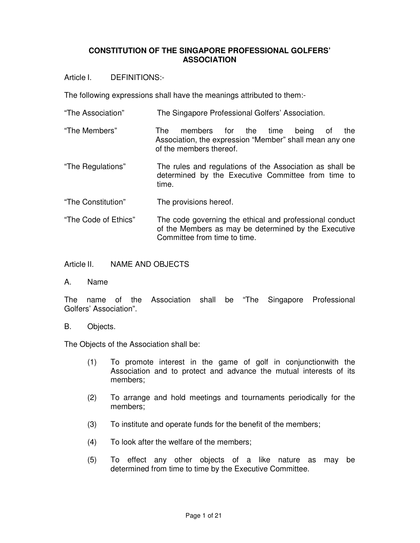## **CONSTITUTION OF THE SINGAPORE PROFESSIONAL GOLFERS' ASSOCIATION**

Article I. DEFINITIONS:-

The following expressions shall have the meanings attributed to them:-

- "The Association" The Singapore Professional Golfers' Association.
- "The Members" The members for the time being of the Association, the expression "Member" shall mean any one of the members thereof.
- "The Regulations" The rules and regulations of the Association as shall be determined by the Executive Committee from time to time.
- "The Constitution" The provisions hereof.
- "The Code of Ethics" The code governing the ethical and professional conduct of the Members as may be determined by the Executive Committee from time to time.

Article II. NAME AND OBJECTS

A. Name

The name of the Association shall be "The Singapore Professional Golfers' Association".

## B. Objects.

The Objects of the Association shall be:

- (1) To promote interest in the game of golf in conjunctionwith the Association and to protect and advance the mutual interests of its members;
- (2) To arrange and hold meetings and tournaments periodically for the members;
- (3) To institute and operate funds for the benefit of the members;
- (4) To look after the welfare of the members;
- (5) To effect any other objects of a like nature as may be determined from time to time by the Executive Committee.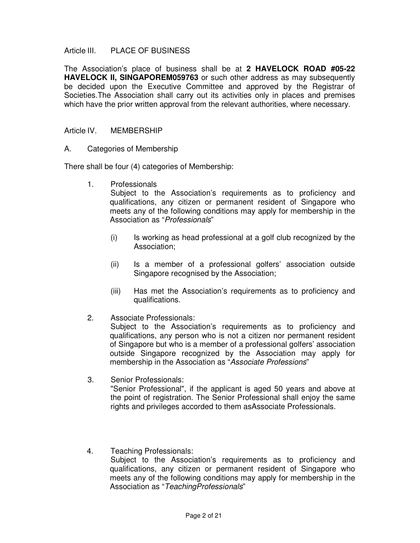### Article III. PLACE OF BUSINESS

The Association's place of business shall be at **2 HAVELOCK ROAD #05-22 HAVELOCK II, SINGAPOREM059763** or such other address as may subsequently be decided upon the Executive Committee and approved by the Registrar of Societies.The Association shall carry out its activities only in places and premises which have the prior written approval from the relevant authorities, where necessary.

#### Article IV. MEMBERSHIP

A. Categories of Membership

There shall be four (4) categories of Membership:

1. Professionals

Subject to the Association's requirements as to proficiency and qualifications, any citizen or permanent resident of Singapore who meets any of the following conditions may apply for membership in the Association as "Professionals"

- (i) Is working as head professional at a golf club recognized by the Association;
- (ii) Is a member of a professional golfers' association outside Singapore recognised by the Association;
- (iii) Has met the Association's requirements as to proficiency and qualifications.
- 2. Associate Professionals:

 Subject to the Association's requirements as to proficiency and qualifications, any person who is not a citizen nor permanent resident of Singapore but who is a member of a professional golfers' association outside Singapore recognized by the Association may apply for membership in the Association as "Associate Professions"

- 3. Senior Professionals: "Senior Professional", if the applicant is aged 50 years and above at the point of registration. The Senior Professional shall enjoy the same rights and privileges accorded to them asAssociate Professionals.
- 4. Teaching Professionals: Subject to the Association's requirements as to proficiency and qualifications, any citizen or permanent resident of Singapore who meets any of the following conditions may apply for membership in the Association as "TeachingProfessionals"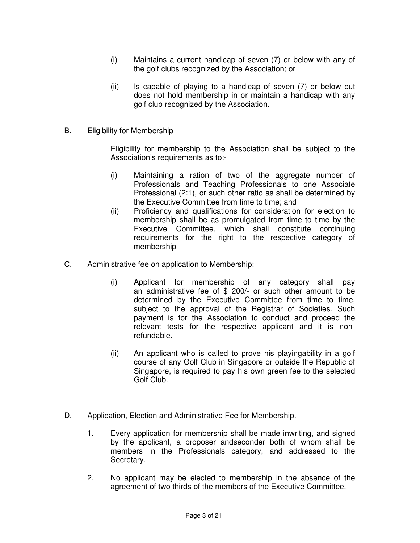- (i) Maintains a current handicap of seven (7) or below with any of the golf clubs recognized by the Association; or
- (ii) Is capable of playing to a handicap of seven (7) or below but does not hold membership in or maintain a handicap with any golf club recognized by the Association.
- B. Eligibility for Membership

Eligibility for membership to the Association shall be subject to the Association's requirements as to:-

- (i) Maintaining a ration of two of the aggregate number of Professionals and Teaching Professionals to one Associate Professional (2:1), or such other ratio as shall be determined by the Executive Committee from time to time; and
- (ii) Proficiency and qualifications for consideration for election to membership shall be as promulgated from time to time by the Executive Committee, which shall constitute continuing requirements for the right to the respective category of membership
- C. Administrative fee on application to Membership:
	- (i) Applicant for membership of any category shall pay an administrative fee of \$ 200/- or such other amount to be determined by the Executive Committee from time to time, subject to the approval of the Registrar of Societies. Such payment is for the Association to conduct and proceed the relevant tests for the respective applicant and it is nonrefundable.
	- (ii) An applicant who is called to prove his playingability in a golf course of any Golf Club in Singapore or outside the Republic of Singapore, is required to pay his own green fee to the selected Golf Club.
- D. Application, Election and Administrative Fee for Membership.
	- 1. Every application for membership shall be made inwriting, and signed by the applicant, a proposer andseconder both of whom shall be members in the Professionals category, and addressed to the Secretary.
	- 2. No applicant may be elected to membership in the absence of the agreement of two thirds of the members of the Executive Committee.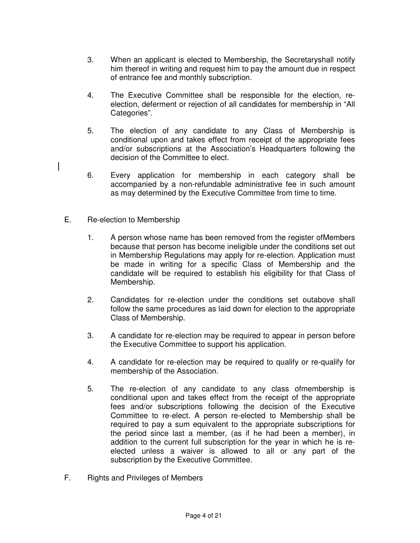- 3. When an applicant is elected to Membership, the Secretaryshall notify him thereof in writing and request him to pay the amount due in respect of entrance fee and monthly subscription.
- 4. The Executive Committee shall be responsible for the election, reelection, deferment or rejection of all candidates for membership in "All Categories".
- 5. The election of any candidate to any Class of Membership is conditional upon and takes effect from receipt of the appropriate fees and/or subscriptions at the Association's Headquarters following the decision of the Committee to elect.
- 6. Every application for membership in each category shall be accompanied by a non-refundable administrative fee in such amount as may determined by the Executive Committee from time to time.
- E. Re-election to Membership
	- 1. A person whose name has been removed from the register ofMembers because that person has become ineligible under the conditions set out in Membership Regulations may apply for re-election. Application must be made in writing for a specific Class of Membership and the candidate will be required to establish his eligibility for that Class of Membership.
	- 2. Candidates for re-election under the conditions set outabove shall follow the same procedures as laid down for election to the appropriate Class of Membership.
	- 3. A candidate for re-election may be required to appear in person before the Executive Committee to support his application.
	- 4. A candidate for re-election may be required to qualify or re-qualify for membership of the Association.
	- 5. The re-election of any candidate to any class ofmembership is conditional upon and takes effect from the receipt of the appropriate fees and/or subscriptions following the decision of the Executive Committee to re-elect. A person re-elected to Membership shall be required to pay a sum equivalent to the appropriate subscriptions for the period since last a member, (as if he had been a member), in addition to the current full subscription for the year in which he is reelected unless a waiver is allowed to all or any part of the subscription by the Executive Committee.
- F. Rights and Privileges of Members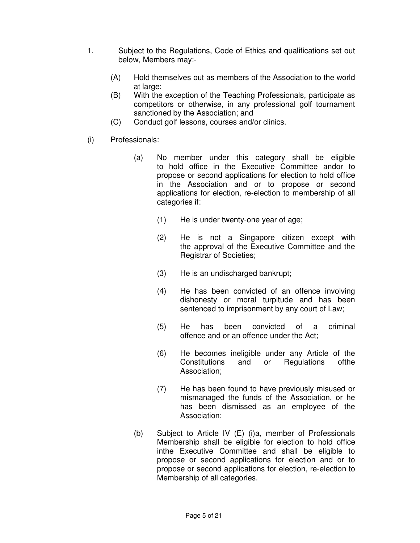- 1. Subject to the Regulations, Code of Ethics and qualifications set out below, Members may:-
	- (A) Hold themselves out as members of the Association to the world at large;
	- (B) With the exception of the Teaching Professionals, participate as competitors or otherwise, in any professional golf tournament sanctioned by the Association; and
	- (C) Conduct golf lessons, courses and/or clinics.
- (i) Professionals:
	- (a) No member under this category shall be eligible to hold office in the Executive Committee andor to propose or second applications for election to hold office in the Association and or to propose or second applications for election, re-election to membership of all categories if:
		- (1) He is under twenty-one year of age;
		- (2) He is not a Singapore citizen except with the approval of the Executive Committee and the Registrar of Societies;
		- (3) He is an undischarged bankrupt;
		- (4) He has been convicted of an offence involving dishonesty or moral turpitude and has been sentenced to imprisonment by any court of Law;
		- (5) He has been convicted of a criminal offence and or an offence under the Act;
		- (6) He becomes ineligible under any Article of the Constitutions and or Regulations ofthe Association;
		- (7) He has been found to have previously misused or mismanaged the funds of the Association, or he has been dismissed as an employee of the Association;
	- (b) Subject to Article IV (E) (i)a, member of Professionals Membership shall be eligible for election to hold office inthe Executive Committee and shall be eligible to propose or second applications for election and or to propose or second applications for election, re-election to Membership of all categories.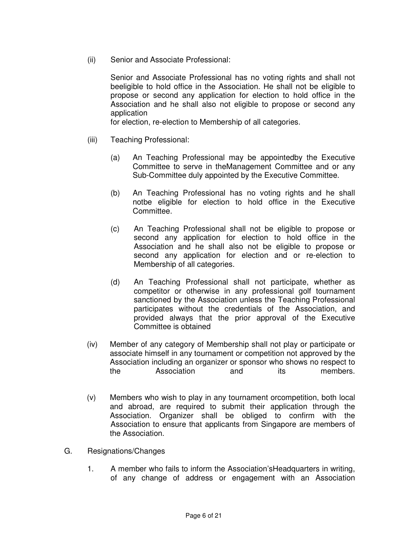(ii) Senior and Associate Professional:

Senior and Associate Professional has no voting rights and shall not beeligible to hold office in the Association. He shall not be eligible to propose or second any application for election to hold office in the Association and he shall also not eligible to propose or second any application

for election, re-election to Membership of all categories.

- (iii) Teaching Professional:
	- (a) An Teaching Professional may be appointedby the Executive Committee to serve in theManagement Committee and or any Sub-Committee duly appointed by the Executive Committee.
	- (b) An Teaching Professional has no voting rights and he shall notbe eligible for election to hold office in the Executive Committee.
	- (c) An Teaching Professional shall not be eligible to propose or second any application for election to hold office in the Association and he shall also not be eligible to propose or second any application for election and or re-election to Membership of all categories.
	- (d) An Teaching Professional shall not participate, whether as competitor or otherwise in any professional golf tournament sanctioned by the Association unless the Teaching Professional participates without the credentials of the Association, and provided always that the prior approval of the Executive Committee is obtained
- (iv) Member of any category of Membership shall not play or participate or associate himself in any tournament or competition not approved by the Association including an organizer or sponsor who shows no respect to the Association and its members.
- (v) Members who wish to play in any tournament orcompetition, both local and abroad, are required to submit their application through the Association. Organizer shall be obliged to confirm with the Association to ensure that applicants from Singapore are members of the Association.
- G. Resignations/Changes
	- 1. A member who fails to inform the Association'sHeadquarters in writing, of any change of address or engagement with an Association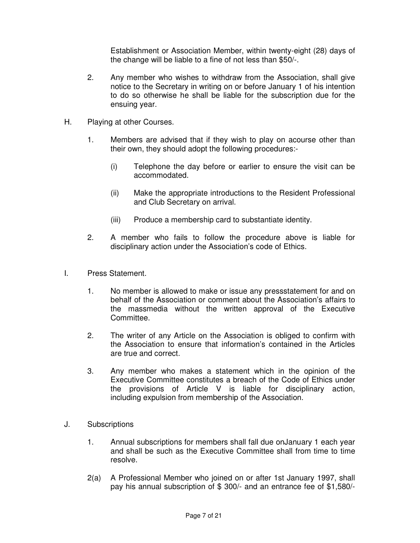Establishment or Association Member, within twenty-eight (28) days of the change will be liable to a fine of not less than \$50/-.

- 2. Any member who wishes to withdraw from the Association, shall give notice to the Secretary in writing on or before January 1 of his intention to do so otherwise he shall be liable for the subscription due for the ensuing year.
- H. Playing at other Courses.
	- 1. Members are advised that if they wish to play on acourse other than their own, they should adopt the following procedures:-
		- (i) Telephone the day before or earlier to ensure the visit can be accommodated.
		- (ii) Make the appropriate introductions to the Resident Professional and Club Secretary on arrival.
		- (iii) Produce a membership card to substantiate identity.
	- 2. A member who fails to follow the procedure above is liable for disciplinary action under the Association's code of Ethics.
- I. Press Statement.
	- 1. No member is allowed to make or issue any pressstatement for and on behalf of the Association or comment about the Association's affairs to the massmedia without the written approval of the Executive Committee.
	- 2. The writer of any Article on the Association is obliged to confirm with the Association to ensure that information's contained in the Articles are true and correct.
	- 3. Any member who makes a statement which in the opinion of the Executive Committee constitutes a breach of the Code of Ethics under the provisions of Article V is liable for disciplinary action, including expulsion from membership of the Association.
- J. Subscriptions
	- 1. Annual subscriptions for members shall fall due onJanuary 1 each year and shall be such as the Executive Committee shall from time to time resolve.
	- 2(a) A Professional Member who joined on or after 1st January 1997, shall pay his annual subscription of \$ 300/- and an entrance fee of \$1,580/-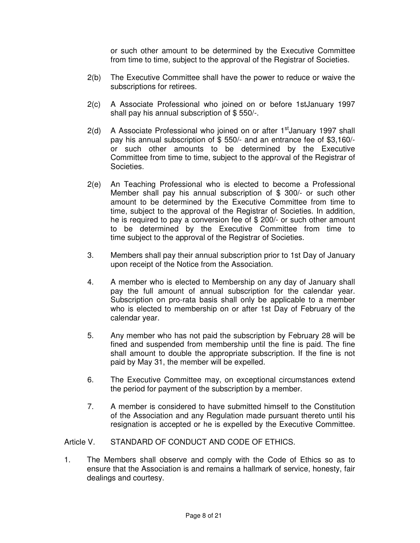or such other amount to be determined by the Executive Committee from time to time, subject to the approval of the Registrar of Societies.

- 2(b) The Executive Committee shall have the power to reduce or waive the subscriptions for retirees.
- 2(c) A Associate Professional who joined on or before 1stJanuary 1997 shall pay his annual subscription of \$ 550/-.
- $2(d)$  A Associate Professional who joined on or after 1<sup>st</sup>January 1997 shall pay his annual subscription of \$ 550/- and an entrance fee of \$3,160/ or such other amounts to be determined by the Executive Committee from time to time, subject to the approval of the Registrar of Societies.
- 2(e) An Teaching Professional who is elected to become a Professional Member shall pay his annual subscription of \$ 300/- or such other amount to be determined by the Executive Committee from time to time, subject to the approval of the Registrar of Societies. In addition, he is required to pay a conversion fee of \$ 200/- or such other amount to be determined by the Executive Committee from time to time subject to the approval of the Registrar of Societies.
- 3. Members shall pay their annual subscription prior to 1st Day of January upon receipt of the Notice from the Association.
- 4. A member who is elected to Membership on any day of January shall pay the full amount of annual subscription for the calendar year. Subscription on pro-rata basis shall only be applicable to a member who is elected to membership on or after 1st Day of February of the calendar year.
- 5. Any member who has not paid the subscription by February 28 will be fined and suspended from membership until the fine is paid. The fine shall amount to double the appropriate subscription. If the fine is not paid by May 31, the member will be expelled.
- 6. The Executive Committee may, on exceptional circumstances extend the period for payment of the subscription by a member.
- 7. A member is considered to have submitted himself to the Constitution of the Association and any Regulation made pursuant thereto until his resignation is accepted or he is expelled by the Executive Committee.

#### Article V. STANDARD OF CONDUCT AND CODE OF ETHICS.

1. The Members shall observe and comply with the Code of Ethics so as to ensure that the Association is and remains a hallmark of service, honesty, fair dealings and courtesy.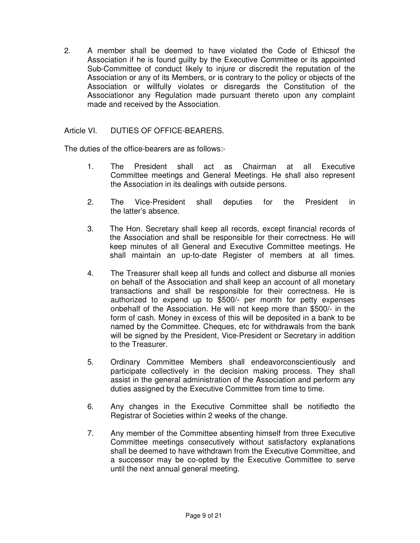2. A member shall be deemed to have violated the Code of Ethicsof the Association if he is found guilty by the Executive Committee or its appointed Sub-Committee of conduct likely to injure or discredit the reputation of the Association or any of its Members, or is contrary to the policy or objects of the Association or willfully violates or disregards the Constitution of the Associationor any Regulation made pursuant thereto upon any complaint made and received by the Association.

# Article VI. DUTIES OF OFFICE-BEARERS.

The duties of the office-bearers are as follows:-

- 1. The President shall act as Chairman at all Executive Committee meetings and General Meetings. He shall also represent the Association in its dealings with outside persons.
- 2. The Vice-President shall deputies for the President in the latter's absence.
- 3. The Hon. Secretary shall keep all records, except financial records of the Association and shall be responsible for their correctness. He will keep minutes of all General and Executive Committee meetings. He shall maintain an up-to-date Register of members at all times.
- 4. The Treasurer shall keep all funds and collect and disburse all monies on behalf of the Association and shall keep an account of all monetary transactions and shall be responsible for their correctness. He is authorized to expend up to \$500/- per month for petty expenses onbehalf of the Association. He will not keep more than \$500/- in the form of cash. Money in excess of this will be deposited in a bank to be named by the Committee. Cheques, etc for withdrawals from the bank will be signed by the President, Vice-President or Secretary in addition to the Treasurer.
- 5. Ordinary Committee Members shall endeavorconscientiously and participate collectively in the decision making process. They shall assist in the general administration of the Association and perform any duties assigned by the Executive Committee from time to time.
- 6. Any changes in the Executive Committee shall be notifiedto the Registrar of Societies within 2 weeks of the change.
- 7. Any member of the Committee absenting himself from three Executive Committee meetings consecutively without satisfactory explanations shall be deemed to have withdrawn from the Executive Committee, and a successor may be co-opted by the Executive Committee to serve until the next annual general meeting.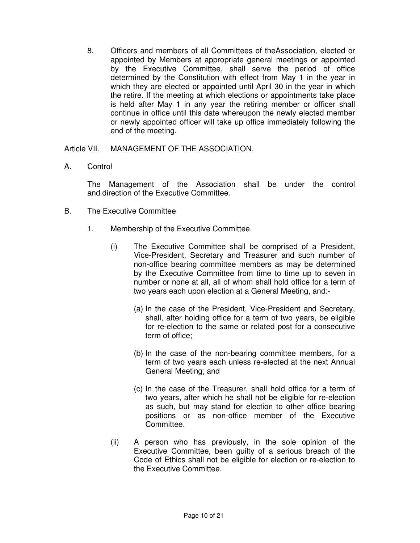8. Officers and members of all Committees of theAssociation, elected or appointed by Members at appropriate general meetings or appointed by the Executive Committee, shall serve the period of office determined by the Constitution with effect from May 1 in the year in which they are elected or appointed until April 30 in the year in which the retire. If the meeting at which elections or appointments take place is held after May 1 in any year the retiring member or officer shall continue in office until this date whereupon the newly elected member or newly appointed officer will take up office immediately following the end of the meeting.

Article VII. MANAGEMENT OF THE ASSOCIATION.

A. Control

The Management of the Association shall be under the control and direction of the Executive Committee.

- B. The Executive Committee
	- 1. Membership of the Executive Committee.
		- (i) The Executive Committee shall be comprised of a President, Vice-President, Secretary and Treasurer and such number of non-office bearing committee members as may be determined by the Executive Committee from time to time up to seven in number or none at all, all of whom shall hold office for a term of two years each upon election at a General Meeting, and:-
			- (a) In the case of the President, Vice-President and Secretary, shall, after holding office for a term of two years, be eligible for re-election to the same or related post for a consecutive term of office;
			- (b) In the case of the non-bearing committee members, for a term of two years each unless re-elected at the next Annual General Meeting; and
			- (c) In the case of the Treasurer, shall hold office for a term of two years, after which he shall not be eligible for re-election as such, but may stand for election to other office bearing positions or as non-office member of the Executive Committee.
		- (ii) A person who has previously, in the sole opinion of the Executive Committee, been guilty of a serious breach of the Code of Ethics shall not be eligible for election or re-election to the Executive Committee.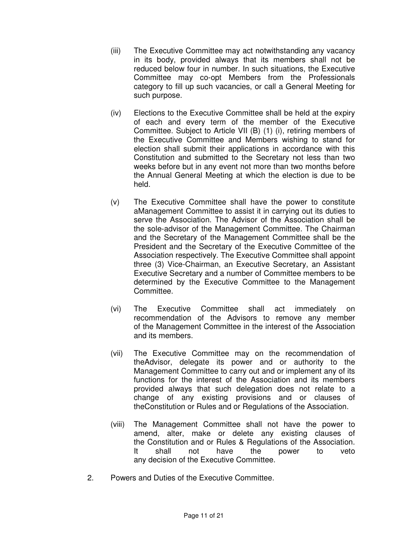- (iii) The Executive Committee may act notwithstanding any vacancy in its body, provided always that its members shall not be reduced below four in number. In such situations, the Executive Committee may co-opt Members from the Professionals category to fill up such vacancies, or call a General Meeting for such purpose.
- (iv) Elections to the Executive Committee shall be held at the expiry of each and every term of the member of the Executive Committee. Subject to Article VII (B) (1) (i), retiring members of the Executive Committee and Members wishing to stand for election shall submit their applications in accordance with this Constitution and submitted to the Secretary not less than two weeks before but in any event not more than two months before the Annual General Meeting at which the election is due to be held.
- (v) The Executive Committee shall have the power to constitute aManagement Committee to assist it in carrying out its duties to serve the Association. The Advisor of the Association shall be the sole-advisor of the Management Committee. The Chairman and the Secretary of the Management Committee shall be the President and the Secretary of the Executive Committee of the Association respectively. The Executive Committee shall appoint three (3) Vice-Chairman, an Executive Secretary, an Assistant Executive Secretary and a number of Committee members to be determined by the Executive Committee to the Management Committee.
- (vi) The Executive Committee shall act immediately on recommendation of the Advisors to remove any member of the Management Committee in the interest of the Association and its members.
- (vii) The Executive Committee may on the recommendation of theAdvisor, delegate its power and or authority to the Management Committee to carry out and or implement any of its functions for the interest of the Association and its members provided always that such delegation does not relate to a change of any existing provisions and or clauses of theConstitution or Rules and or Regulations of the Association.
- (viii) The Management Committee shall not have the power to amend, alter, make or delete any existing clauses of the Constitution and or Rules & Regulations of the Association. It shall not have the power to veto any decision of the Executive Committee.
- 2. Powers and Duties of the Executive Committee.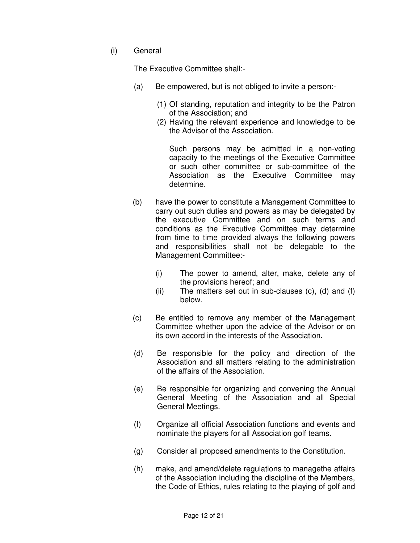(i) General

The Executive Committee shall:-

- (a) Be empowered, but is not obliged to invite a person:-
	- (1) Of standing, reputation and integrity to be the Patron of the Association; and
	- (2) Having the relevant experience and knowledge to be the Advisor of the Association.

Such persons may be admitted in a non-voting capacity to the meetings of the Executive Committee or such other committee or sub-committee of the Association as the Executive Committee may determine.

- (b) have the power to constitute a Management Committee to carry out such duties and powers as may be delegated by the executive Committee and on such terms and conditions as the Executive Committee may determine from time to time provided always the following powers and responsibilities shall not be delegable to the Management Committee:-
	- (i) The power to amend, alter, make, delete any of the provisions hereof; and
	- (ii) The matters set out in sub-clauses  $(c)$ ,  $(d)$  and  $(f)$ below.
- (c) Be entitled to remove any member of the Management Committee whether upon the advice of the Advisor or on its own accord in the interests of the Association.
- (d) Be responsible for the policy and direction of the Association and all matters relating to the administration of the affairs of the Association.
- (e) Be responsible for organizing and convening the Annual General Meeting of the Association and all Special General Meetings.
- (f) Organize all official Association functions and events and nominate the players for all Association golf teams.
- (g) Consider all proposed amendments to the Constitution.
- (h) make, and amend/delete regulations to managethe affairs of the Association including the discipline of the Members, the Code of Ethics, rules relating to the playing of golf and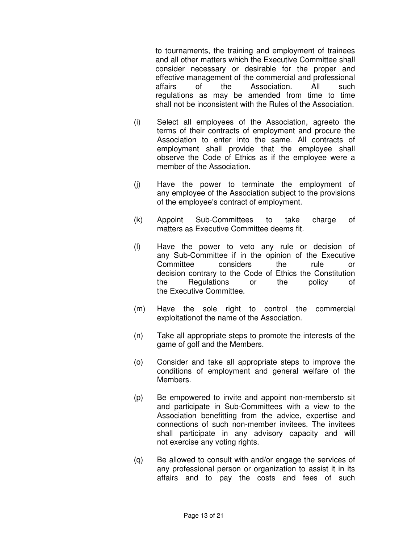to tournaments, the training and employment of trainees and all other matters which the Executive Committee shall consider necessary or desirable for the proper and effective management of the commercial and professional affairs of the Association. All such regulations as may be amended from time to time shall not be inconsistent with the Rules of the Association.

- (i) Select all employees of the Association, agreeto the terms of their contracts of employment and procure the Association to enter into the same. All contracts of employment shall provide that the employee shall observe the Code of Ethics as if the employee were a member of the Association.
- (j) Have the power to terminate the employment of any employee of the Association subject to the provisions of the employee's contract of employment.
- (k) Appoint Sub-Committees to take charge of matters as Executive Committee deems fit.
- (l) Have the power to veto any rule or decision of any Sub-Committee if in the opinion of the Executive Committee considers the rule or decision contrary to the Code of Ethics the Constitution the Regulations or the policy of the Executive Committee.
- (m) Have the sole right to control the commercial exploitationof the name of the Association.
- (n) Take all appropriate steps to promote the interests of the game of golf and the Members.
- (o) Consider and take all appropriate steps to improve the conditions of employment and general welfare of the Members.
- (p) Be empowered to invite and appoint non-membersto sit and participate in Sub-Committees with a view to the Association benefitting from the advice, expertise and connections of such non-member invitees. The invitees shall participate in any advisory capacity and will not exercise any voting rights.
- (q) Be allowed to consult with and/or engage the services of any professional person or organization to assist it in its affairs and to pay the costs and fees of such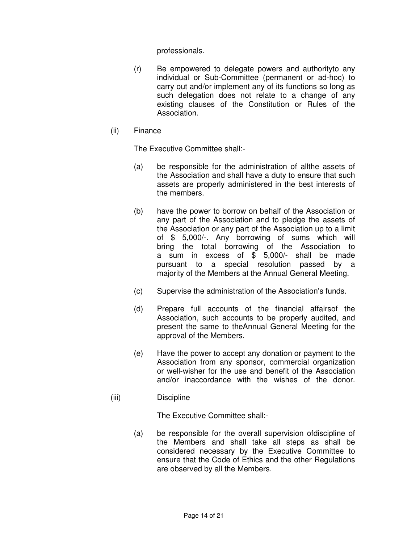professionals.

- (r) Be empowered to delegate powers and authorityto any individual or Sub-Committee (permanent or ad-hoc) to carry out and/or implement any of its functions so long as such delegation does not relate to a change of any existing clauses of the Constitution or Rules of the Association.
- (ii) Finance

The Executive Committee shall:-

- (a) be responsible for the administration of allthe assets of the Association and shall have a duty to ensure that such assets are properly administered in the best interests of the members.
- (b) have the power to borrow on behalf of the Association or any part of the Association and to pledge the assets of the Association or any part of the Association up to a limit of \$ 5,000/-. Any borrowing of sums which will bring the total borrowing of the Association to a sum in excess of \$ 5,000/- shall be made pursuant to a special resolution passed by a majority of the Members at the Annual General Meeting.
- (c) Supervise the administration of the Association's funds.
- (d) Prepare full accounts of the financial affairsof the Association, such accounts to be properly audited, and present the same to theAnnual General Meeting for the approval of the Members.
- (e) Have the power to accept any donation or payment to the Association from any sponsor, commercial organization or well-wisher for the use and benefit of the Association and/or inaccordance with the wishes of the donor.
- (iii) Discipline

The Executive Committee shall:-

(a) be responsible for the overall supervision ofdiscipline of the Members and shall take all steps as shall be considered necessary by the Executive Committee to ensure that the Code of Ethics and the other Regulations are observed by all the Members.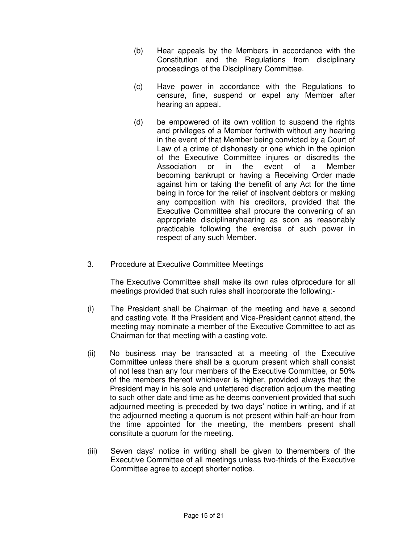- (b) Hear appeals by the Members in accordance with the Constitution and the Regulations from disciplinary proceedings of the Disciplinary Committee.
- (c) Have power in accordance with the Regulations to censure, fine, suspend or expel any Member after hearing an appeal.
- (d) be empowered of its own volition to suspend the rights and privileges of a Member forthwith without any hearing in the event of that Member being convicted by a Court of Law of a crime of dishonesty or one which in the opinion of the Executive Committee injures or discredits the Association or in the event of a Member becoming bankrupt or having a Receiving Order made against him or taking the benefit of any Act for the time being in force for the relief of insolvent debtors or making any composition with his creditors, provided that the Executive Committee shall procure the convening of an appropriate disciplinaryhearing as soon as reasonably practicable following the exercise of such power in respect of any such Member.
- 3. Procedure at Executive Committee Meetings

The Executive Committee shall make its own rules ofprocedure for all meetings provided that such rules shall incorporate the following:-

- (i) The President shall be Chairman of the meeting and have a second and casting vote. If the President and Vice-President cannot attend, the meeting may nominate a member of the Executive Committee to act as Chairman for that meeting with a casting vote.
- (ii) No business may be transacted at a meeting of the Executive Committee unless there shall be a quorum present which shall consist of not less than any four members of the Executive Committee, or 50% of the members thereof whichever is higher, provided always that the President may in his sole and unfettered discretion adjourn the meeting to such other date and time as he deems convenient provided that such adjourned meeting is preceded by two days' notice in writing, and if at the adjourned meeting a quorum is not present within half-an-hour from the time appointed for the meeting, the members present shall constitute a quorum for the meeting.
- (iii) Seven days' notice in writing shall be given to themembers of the Executive Committee of all meetings unless two-thirds of the Executive Committee agree to accept shorter notice.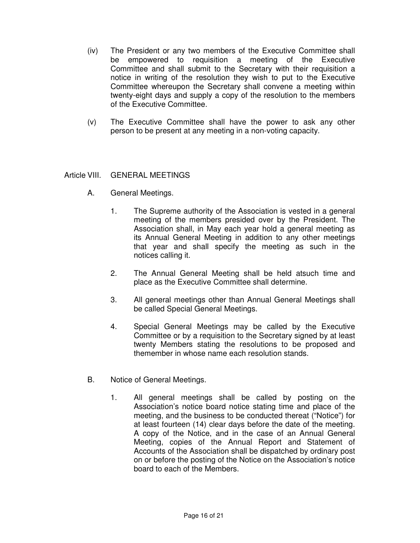- (iv) The President or any two members of the Executive Committee shall be empowered to requisition a meeting of the Executive Committee and shall submit to the Secretary with their requisition a notice in writing of the resolution they wish to put to the Executive Committee whereupon the Secretary shall convene a meeting within twenty-eight days and supply a copy of the resolution to the members of the Executive Committee.
- (v) The Executive Committee shall have the power to ask any other person to be present at any meeting in a non-voting capacity.

## Article VIII. GENERAL MEETINGS

- A. General Meetings.
	- 1. The Supreme authority of the Association is vested in a general meeting of the members presided over by the President. The Association shall, in May each year hold a general meeting as its Annual General Meeting in addition to any other meetings that year and shall specify the meeting as such in the notices calling it.
	- 2. The Annual General Meeting shall be held atsuch time and place as the Executive Committee shall determine.
	- 3. All general meetings other than Annual General Meetings shall be called Special General Meetings.
	- 4. Special General Meetings may be called by the Executive Committee or by a requisition to the Secretary signed by at least twenty Members stating the resolutions to be proposed and themember in whose name each resolution stands.
- B. Notice of General Meetings.
	- 1. All general meetings shall be called by posting on the Association's notice board notice stating time and place of the meeting, and the business to be conducted thereat ("Notice") for at least fourteen (14) clear days before the date of the meeting. A copy of the Notice, and in the case of an Annual General Meeting, copies of the Annual Report and Statement of Accounts of the Association shall be dispatched by ordinary post on or before the posting of the Notice on the Association's notice board to each of the Members.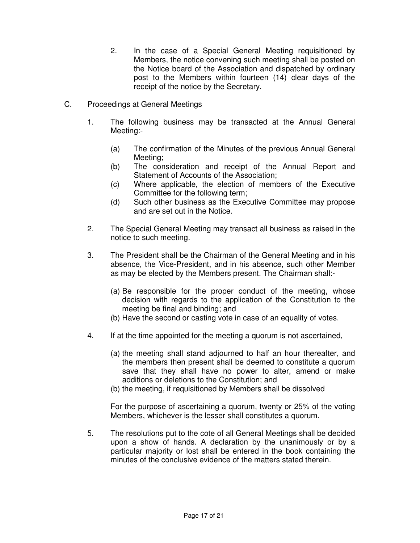- 2. In the case of a Special General Meeting requisitioned by Members, the notice convening such meeting shall be posted on the Notice board of the Association and dispatched by ordinary post to the Members within fourteen (14) clear days of the receipt of the notice by the Secretary.
- C. Proceedings at General Meetings
	- 1. The following business may be transacted at the Annual General Meeting:-
		- (a) The confirmation of the Minutes of the previous Annual General Meeting;
		- (b) The consideration and receipt of the Annual Report and Statement of Accounts of the Association;
		- (c) Where applicable, the election of members of the Executive Committee for the following term;
		- (d) Such other business as the Executive Committee may propose and are set out in the Notice.
	- 2. The Special General Meeting may transact all business as raised in the notice to such meeting.
	- 3. The President shall be the Chairman of the General Meeting and in his absence, the Vice-President, and in his absence, such other Member as may be elected by the Members present. The Chairman shall:-
		- (a) Be responsible for the proper conduct of the meeting, whose decision with regards to the application of the Constitution to the meeting be final and binding; and
		- (b) Have the second or casting vote in case of an equality of votes.
	- 4. If at the time appointed for the meeting a quorum is not ascertained,
		- (a) the meeting shall stand adjourned to half an hour thereafter, and the members then present shall be deemed to constitute a quorum save that they shall have no power to alter, amend or make additions or deletions to the Constitution; and
		- (b) the meeting, if requisitioned by Members shall be dissolved

For the purpose of ascertaining a quorum, twenty or 25% of the voting Members, whichever is the lesser shall constitutes a quorum.

5. The resolutions put to the cote of all General Meetings shall be decided upon a show of hands. A declaration by the unanimously or by a particular majority or lost shall be entered in the book containing the minutes of the conclusive evidence of the matters stated therein.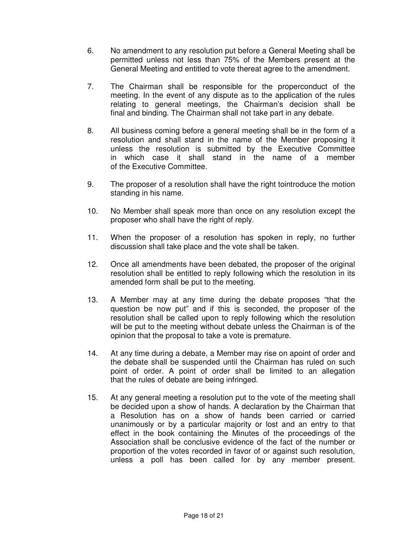- 6. No amendment to any resolution put before a General Meeting shall be permitted unless not less than 75% of the Members present at the General Meeting and entitled to vote thereat agree to the amendment.
- 7. The Chairman shall be responsible for the properconduct of the meeting. In the event of any dispute as to the application of the rules relating to general meetings, the Chairman's decision shall be final and binding. The Chairman shall not take part in any debate.
- 8. All business coming before a general meeting shall be in the form of a resolution and shall stand in the name of the Member proposing it unless the resolution is submitted by the Executive Committee in which case it shall stand in the name of a member of the Executive Committee.
- 9. The proposer of a resolution shall have the right tointroduce the motion standing in his name.
- 10. No Member shall speak more than once on any resolution except the proposer who shall have the right of reply.
- 11. When the proposer of a resolution has spoken in reply, no further discussion shall take place and the vote shall be taken.
- 12. Once all amendments have been debated, the proposer of the original resolution shall be entitled to reply following which the resolution in its amended form shall be put to the meeting.
- 13. A Member may at any time during the debate proposes "that the question be now put" and if this is seconded, the proposer of the resolution shall be called upon to reply following which the resolution will be put to the meeting without debate unless the Chairman is of the opinion that the proposal to take a vote is premature.
- 14. At any time during a debate, a Member may rise on apoint of order and the debate shall be suspended until the Chairman has ruled on such point of order. A point of order shall be limited to an allegation that the rules of debate are being infringed.
- 15. At any general meeting a resolution put to the vote of the meeting shall be decided upon a show of hands. A declaration by the Chairman that a Resolution has on a show of hands been carried or carried unanimously or by a particular majority or lost and an entry to that effect in the book containing the Minutes of the proceedings of the Association shall be conclusive evidence of the fact of the number or proportion of the votes recorded in favor of or against such resolution, unless a poll has been called for by any member present.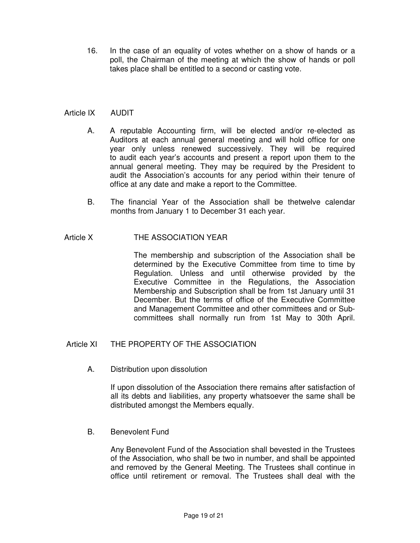16. In the case of an equality of votes whether on a show of hands or a poll, the Chairman of the meeting at which the show of hands or poll takes place shall be entitled to a second or casting vote.

# Article IX AUDIT

- A. A reputable Accounting firm, will be elected and/or re-elected as Auditors at each annual general meeting and will hold office for one year only unless renewed successively. They will be required to audit each year's accounts and present a report upon them to the annual general meeting. They may be required by the President to audit the Association's accounts for any period within their tenure of office at any date and make a report to the Committee.
- B. The financial Year of the Association shall be thetwelve calendar months from January 1 to December 31 each year.

# Article X **THE ASSOCIATION YEAR**

The membership and subscription of the Association shall be determined by the Executive Committee from time to time by Regulation. Unless and until otherwise provided by the Executive Committee in the Regulations, the Association Membership and Subscription shall be from 1st January until 31 December. But the terms of office of the Executive Committee and Management Committee and other committees and or Subcommittees shall normally run from 1st May to 30th April.

## Article XI THE PROPERTY OF THE ASSOCIATION

A. Distribution upon dissolution

If upon dissolution of the Association there remains after satisfaction of all its debts and liabilities, any property whatsoever the same shall be distributed amongst the Members equally.

B. Benevolent Fund

Any Benevolent Fund of the Association shall bevested in the Trustees of the Association, who shall be two in number, and shall be appointed and removed by the General Meeting. The Trustees shall continue in office until retirement or removal. The Trustees shall deal with the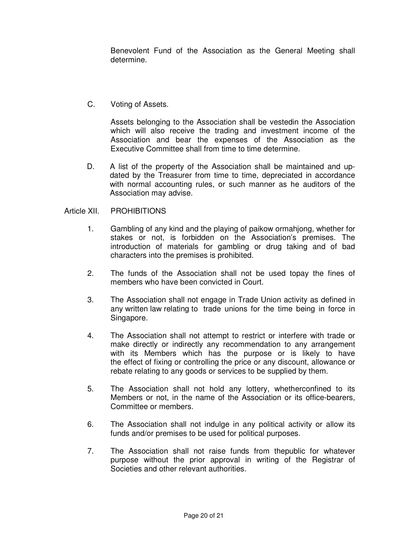Benevolent Fund of the Association as the General Meeting shall determine.

C. Voting of Assets.

Assets belonging to the Association shall be vestedin the Association which will also receive the trading and investment income of the Association and bear the expenses of the Association as the Executive Committee shall from time to time determine.

D. A list of the property of the Association shall be maintained and updated by the Treasurer from time to time, depreciated in accordance with normal accounting rules, or such manner as he auditors of the Association may advise.

#### Article XII. PROHIBITIONS

- 1. Gambling of any kind and the playing of paikow ormahjong, whether for stakes or not, is forbidden on the Association's premises. The introduction of materials for gambling or drug taking and of bad characters into the premises is prohibited.
- 2. The funds of the Association shall not be used topay the fines of members who have been convicted in Court.
- 3. The Association shall not engage in Trade Union activity as defined in any written law relating to trade unions for the time being in force in Singapore.
- 4. The Association shall not attempt to restrict or interfere with trade or make directly or indirectly any recommendation to any arrangement with its Members which has the purpose or is likely to have the effect of fixing or controlling the price or any discount, allowance or rebate relating to any goods or services to be supplied by them.
- 5. The Association shall not hold any lottery, whetherconfined to its Members or not, in the name of the Association or its office-bearers, Committee or members.
- 6. The Association shall not indulge in any political activity or allow its funds and/or premises to be used for political purposes.
- 7. The Association shall not raise funds from thepublic for whatever purpose without the prior approval in writing of the Registrar of Societies and other relevant authorities.